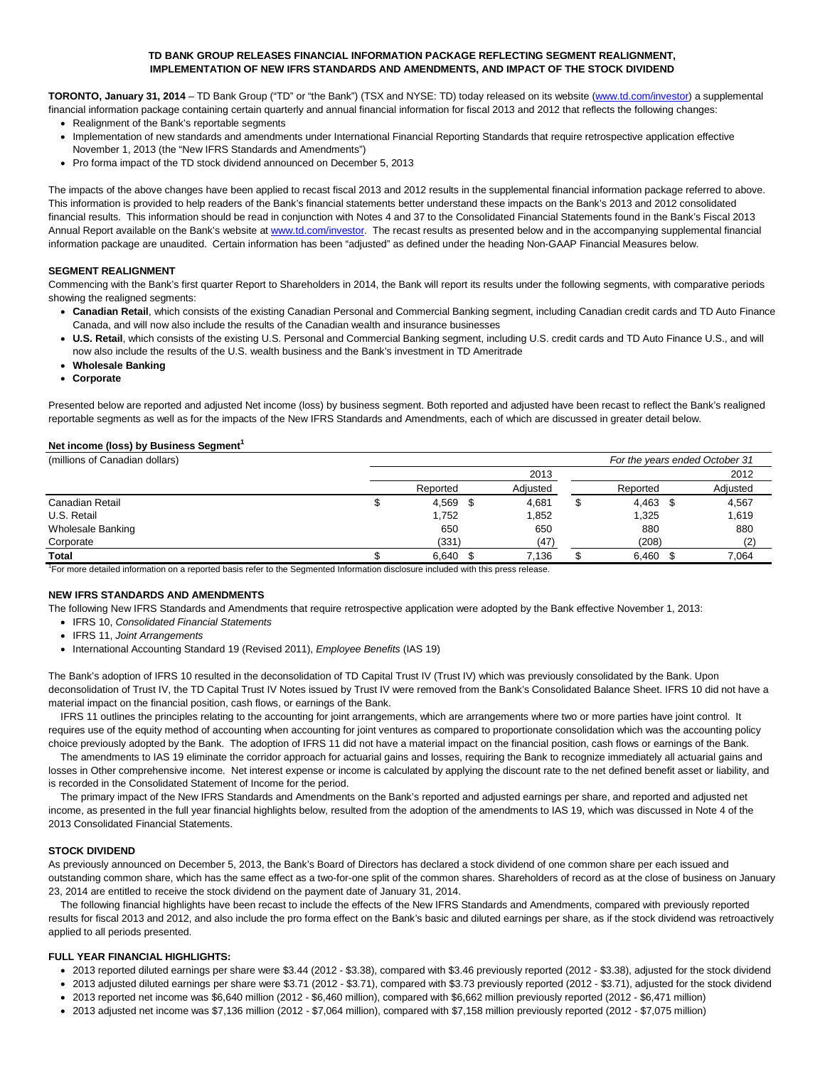# **TD BANK GROUP RELEASES FINANCIAL INFORMATION PACKAGE REFLECTING SEGMENT REALIGNMENT, IMPLEMENTATION OF NEW IFRS STANDARDS AND AMENDMENTS, AND IMPACT OF THE STOCK DIVIDEND**

**TORONTO, January 31, 2014** – TD Bank Group ("TD" or "the Bank") (TSX and NYSE: TD) today released on its website [\(www.td.com/investor\)](http://www.td.com/investor) a supplemental financial information package containing certain quarterly and annual financial information for fiscal 2013 and 2012 that reflects the following changes:

- Realignment of the Bank's reportable segments
- Implementation of new standards and amendments under International Financial Reporting Standards that require retrospective application effective November 1, 2013 (the "New IFRS Standards and Amendments")
- Pro forma impact of the TD stock dividend announced on December 5, 2013

The impacts of the above changes have been applied to recast fiscal 2013 and 2012 results in the supplemental financial information package referred to above. This information is provided to help readers of the Bank's financial statements better understand these impacts on the Bank's 2013 and 2012 consolidated financial results. This information should be read in conjunction with Notes 4 and 37 to the Consolidated Financial Statements found in the Bank's Fiscal 2013 Annual Report available on the Bank's website a[t www.td.com/investor.](http://www.td.com/investor/) The recast results as presented below and in the accompanying supplemental financial information package are unaudited. Certain information has been "adjusted" as defined under the heading Non-GAAP Financial Measures below.

# **SEGMENT REALIGNMENT**

Commencing with the Bank's first quarter Report to Shareholders in 2014, the Bank will report its results under the following segments, with comparative periods showing the realigned segments:

- **Canadian Retail**, which consists of the existing Canadian Personal and Commercial Banking segment, including Canadian credit cards and TD Auto Finance Canada, and will now also include the results of the Canadian wealth and insurance businesses
- **U.S. Retail**, which consists of the existing U.S. Personal and Commercial Banking segment, including U.S. credit cards and TD Auto Finance U.S., and will now also include the results of the U.S. wealth business and the Bank's investment in TD Ameritrade
- **Wholesale Banking**
- **Corporate**

Presented below are reported and adjusted Net income (loss) by business segment. Both reported and adjusted have been recast to reflect the Bank's realigned reportable segments as well as for the impacts of the New IFRS Standards and Amendments, each of which are discussed in greater detail below.

# **Net income (loss) by Business Segment<sup>1</sup>**

| (millions of Canadian dollars) | For the years ended October 31 |            |  |          |      |               |          |  |
|--------------------------------|--------------------------------|------------|--|----------|------|---------------|----------|--|
|                                |                                |            |  | 2013     | 2012 |               |          |  |
|                                | Reported                       |            |  | Adjusted |      | Reported      | Adjusted |  |
| Canadian Retail                |                                | $4,569$ \$ |  | 4,681    | S    | 4,463<br>- \$ | 4,567    |  |
| U.S. Retail                    |                                | 1.752      |  | 1,852    |      | 1,325         | 1,619    |  |
| Wholesale Banking              |                                | 650        |  | 650      |      | 880           | 880      |  |
| Corporate                      |                                | (331)      |  | (47)     |      | (208)         | (2)      |  |
| Total                          |                                | 6,640 \$   |  | 7.136    |      | 6,460         | 7,064    |  |

1 For more detailed information on a reported basis refer to the Segmented Information disclosure included with this press release.

## **NEW IFRS STANDARDS AND AMENDMENTS**

The following New IFRS Standards and Amendments that require retrospective application were adopted by the Bank effective November 1, 2013:

- IFRS 10, *Consolidated Financial Statements*
- IFRS 11, *Joint Arrangements*
- International Accounting Standard 19 (Revised 2011), *Employee Benefits* (IAS 19)

The Bank's adoption of IFRS 10 resulted in the deconsolidation of TD Capital Trust IV (Trust IV) which was previously consolidated by the Bank. Upon deconsolidation of Trust IV, the TD Capital Trust IV Notes issued by Trust IV were removed from the Bank's Consolidated Balance Sheet. IFRS 10 did not have a material impact on the financial position, cash flows, or earnings of the Bank.

IFRS 11 outlines the principles relating to the accounting for joint arrangements, which are arrangements where two or more parties have joint control. It requires use of the equity method of accounting when accounting for joint ventures as compared to proportionate consolidation which was the accounting policy choice previously adopted by the Bank. The adoption of IFRS 11 did not have a material impact on the financial position, cash flows or earnings of the Bank.

The amendments to IAS 19 eliminate the corridor approach for actuarial gains and losses, requiring the Bank to recognize immediately all actuarial gains and losses in Other comprehensive income. Net interest expense or income is calculated by applying the discount rate to the net defined benefit asset or liability, and is recorded in the Consolidated Statement of Income for the period.

The primary impact of the New IFRS Standards and Amendments on the Bank's reported and adjusted earnings per share, and reported and adjusted net income, as presented in the full year financial highlights below, resulted from the adoption of the amendments to IAS 19, which was discussed in Note 4 of the 2013 Consolidated Financial Statements.

# **STOCK DIVIDEND**

As previously announced on December 5, 2013, the Bank's Board of Directors has declared a stock dividend of one common share per each issued and outstanding common share, which has the same effect as a two-for-one split of the common shares. Shareholders of record as at the close of business on January 23, 2014 are entitled to receive the stock dividend on the payment date of January 31, 2014.

The following financial highlights have been recast to include the effects of the New IFRS Standards and Amendments, compared with previously reported results for fiscal 2013 and 2012, and also include the pro forma effect on the Bank's basic and diluted earnings per share, as if the stock dividend was retroactively applied to all periods presented.

## **FULL YEAR FINANCIAL HIGHLIGHTS:**

- 2013 reported diluted earnings per share were \$3.44 (2012 \$3.38), compared with \$3.46 previously reported (2012 \$3.38), adjusted for the stock dividend
- 2013 adjusted diluted earnings per share were \$3.71 (2012 \$3.71), compared with \$3.73 previously reported (2012 \$3.71), adjusted for the stock dividend
- 2013 reported net income was \$6,640 million (2012 \$6,460 million), compared with \$6,662 million previously reported (2012 \$6,471 million)
- 2013 adjusted net income was \$7,136 million (2012 \$7,064 million), compared with \$7,158 million previously reported (2012 \$7,075 million)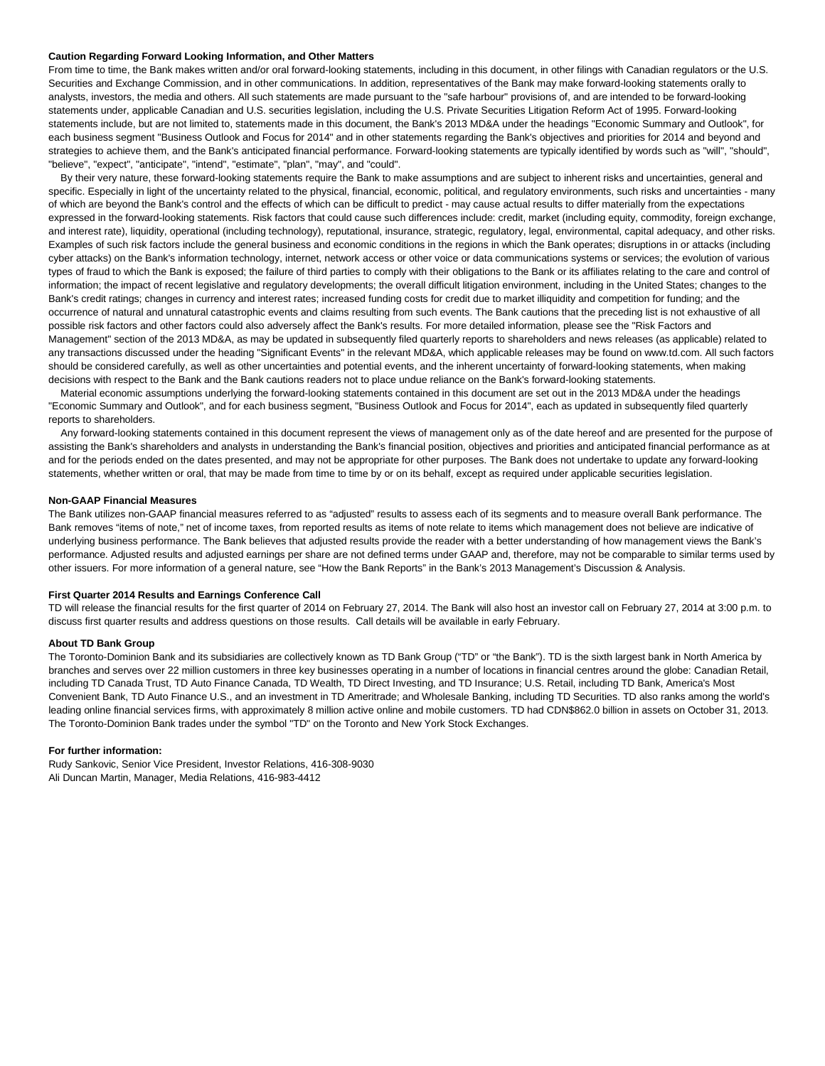### **Caution Regarding Forward Looking Information, and Other Matters**

From time to time, the Bank makes written and/or oral forward-looking statements, including in this document, in other filings with Canadian regulators or the U.S. Securities and Exchange Commission, and in other communications. In addition, representatives of the Bank may make forward-looking statements orally to analysts, investors, the media and others. All such statements are made pursuant to the "safe harbour" provisions of, and are intended to be forward-looking statements under, applicable Canadian and U.S. securities legislation, including the U.S. Private Securities Litigation Reform Act of 1995. Forward-looking statements include, but are not limited to, statements made in this document, the Bank's 2013 MD&A under the headings "Economic Summary and Outlook", for each business segment "Business Outlook and Focus for 2014" and in other statements regarding the Bank's objectives and priorities for 2014 and beyond and strategies to achieve them, and the Bank's anticipated financial performance. Forward-looking statements are typically identified by words such as "will", "should", "believe", "expect", "anticipate", "intend", "estimate", "plan", "may", and "could".

By their very nature, these forward-looking statements require the Bank to make assumptions and are subject to inherent risks and uncertainties, general and specific. Especially in light of the uncertainty related to the physical, financial, economic, political, and regulatory environments, such risks and uncertainties - many of which are beyond the Bank's control and the effects of which can be difficult to predict - may cause actual results to differ materially from the expectations expressed in the forward-looking statements. Risk factors that could cause such differences include: credit, market (including equity, commodity, foreign exchange, and interest rate), liquidity, operational (including technology), reputational, insurance, strategic, regulatory, legal, environmental, capital adequacy, and other risks. Examples of such risk factors include the general business and economic conditions in the regions in which the Bank operates; disruptions in or attacks (including cyber attacks) on the Bank's information technology, internet, network access or other voice or data communications systems or services; the evolution of various types of fraud to which the Bank is exposed; the failure of third parties to comply with their obligations to the Bank or its affiliates relating to the care and control of information; the impact of recent legislative and regulatory developments; the overall difficult litigation environment, including in the United States; changes to the Bank's credit ratings; changes in currency and interest rates; increased funding costs for credit due to market illiquidity and competition for funding; and the occurrence of natural and unnatural catastrophic events and claims resulting from such events. The Bank cautions that the preceding list is not exhaustive of all possible risk factors and other factors could also adversely affect the Bank's results. For more detailed information, please see the "Risk Factors and Management" section of the 2013 MD&A, as may be updated in subsequently filed quarterly reports to shareholders and news releases (as applicable) related to any transactions discussed under the heading "Significant Events" in the relevant MD&A, which applicable releases may be found on www.td.com. All such factors should be considered carefully, as well as other uncertainties and potential events, and the inherent uncertainty of forward-looking statements, when making decisions with respect to the Bank and the Bank cautions readers not to place undue reliance on the Bank's forward-looking statements.

Material economic assumptions underlying the forward-looking statements contained in this document are set out in the 2013 MD&A under the headings "Economic Summary and Outlook", and for each business segment, "Business Outlook and Focus for 2014", each as updated in subsequently filed quarterly reports to shareholders.

Any forward-looking statements contained in this document represent the views of management only as of the date hereof and are presented for the purpose of assisting the Bank's shareholders and analysts in understanding the Bank's financial position, objectives and priorities and anticipated financial performance as at and for the periods ended on the dates presented, and may not be appropriate for other purposes. The Bank does not undertake to update any forward-looking statements, whether written or oral, that may be made from time to time by or on its behalf, except as required under applicable securities legislation.

### **Non-GAAP Financial Measures**

The Bank utilizes non-GAAP financial measures referred to as "adjusted" results to assess each of its segments and to measure overall Bank performance. The Bank removes "items of note," net of income taxes, from reported results as items of note relate to items which management does not believe are indicative of underlying business performance. The Bank believes that adjusted results provide the reader with a better understanding of how management views the Bank's performance. Adjusted results and adjusted earnings per share are not defined terms under GAAP and, therefore, may not be comparable to similar terms used by other issuers. For more information of a general nature, see "How the Bank Reports" in the Bank's 2013 Management's Discussion & Analysis.

#### **First Quarter 2014 Results and Earnings Conference Call**

TD will release the financial results for the first quarter of 2014 on February 27, 2014. The Bank will also host an investor call on February 27, 2014 at 3:00 p.m. to discuss first quarter results and address questions on those results. Call details will be available in early February.

### **About TD Bank Group**

The Toronto-Dominion Bank and its subsidiaries are collectively known as TD Bank Group ("TD" or "the Bank"). TD is the sixth largest bank in North America by branches and serves over 22 million customers in three key businesses operating in a number of locations in financial centres around the globe: Canadian Retail, including TD Canada Trust, TD Auto Finance Canada, TD Wealth, TD Direct Investing, and TD Insurance; U.S. Retail, including TD Bank, America's Most Convenient Bank, TD Auto Finance U.S., and an investment in TD Ameritrade; and Wholesale Banking, including TD Securities. TD also ranks among the world's leading online financial services firms, with approximately 8 million active online and mobile customers. TD had CDN\$862.0 billion in assets on October 31, 2013. The Toronto-Dominion Bank trades under the symbol "TD" on the Toronto and New York Stock Exchanges.

### **For further information:**

Rudy Sankovic, Senior Vice President, Investor Relations, 416-308-9030 Ali Duncan Martin, Manager, Media Relations, 416-983-4412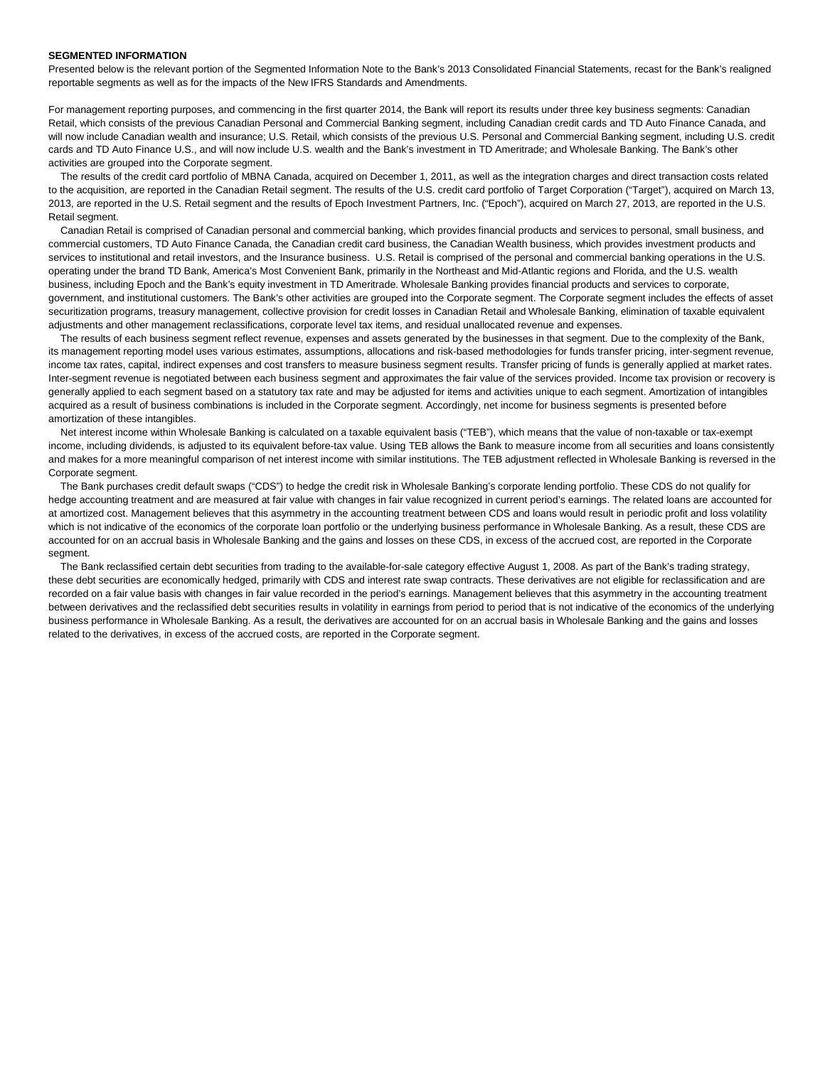#### **SEGMENTED INFORMATION**

Presented below is the relevant portion of the Segmented Information Note to the Bank's 2013 Consolidated Financial Statements, recast for the Bank's realigned reportable segments as well as for the impacts of the New IFRS Standards and Amendments.

For management reporting purposes, and commencing in the first quarter 2014, the Bank will report its results under three key business segments: Canadian Retail, which consists of the previous Canadian Personal and Commercial Banking segment, including Canadian credit cards and TD Auto Finance Canada, and will now include Canadian wealth and insurance; U.S. Retail, which consists of the previous U.S. Personal and Commercial Banking segment, including U.S. credit cards and TD Auto Finance U.S., and will now include U.S. wealth and the Bank's investment in TD Ameritrade; and Wholesale Banking. The Bank's other activities are grouped into the Corporate segment.

The results of the credit card portfolio of MBNA Canada, acquired on December 1, 2011, as well as the integration charges and direct transaction costs related to the acquisition, are reported in the Canadian Retail segment. The results of the U.S. credit card portfolio of Target Corporation ("Target"), acquired on March 13, 2013, are reported in the U.S. Retail segment and the results of Epoch Investment Partners, Inc. ("Epoch"), acquired on March 27, 2013, are reported in the U.S. Retail segment.

Canadian Retail is comprised of Canadian personal and commercial banking, which provides financial products and services to personal, small business, and commercial customers, TD Auto Finance Canada, the Canadian credit card business, the Canadian Wealth business, which provides investment products and services to institutional and retail investors, and the Insurance business. U.S. Retail is comprised of the personal and commercial banking operations in the U.S. operating under the brand TD Bank, America's Most Convenient Bank, primarily in the Northeast and Mid-Atlantic regions and Florida, and the U.S. wealth business, including Epoch and the Bank's equity investment in TD Ameritrade. Wholesale Banking provides financial products and services to corporate, government, and institutional customers. The Bank's other activities are grouped into the Corporate segment. The Corporate segment includes the effects of asset securitization programs, treasury management, collective provision for credit losses in Canadian Retail and Wholesale Banking, elimination of taxable equivalent adjustments and other management reclassifications, corporate level tax items, and residual unallocated revenue and expenses.

The results of each business segment reflect revenue, expenses and assets generated by the businesses in that segment. Due to the complexity of the Bank, its management reporting model uses various estimates, assumptions, allocations and risk-based methodologies for funds transfer pricing, inter-segment revenue, income tax rates, capital, indirect expenses and cost transfers to measure business segment results. Transfer pricing of funds is generally applied at market rates. Inter-segment revenue is negotiated between each business segment and approximates the fair value of the services provided. Income tax provision or recovery is generally applied to each segment based on a statutory tax rate and may be adjusted for items and activities unique to each segment. Amortization of intangibles acquired as a result of business combinations is included in the Corporate segment. Accordingly, net income for business segments is presented before amortization of these intangibles.

Net interest income within Wholesale Banking is calculated on a taxable equivalent basis ("TEB"), which means that the value of non-taxable or tax-exempt income, including dividends, is adjusted to its equivalent before-tax value. Using TEB allows the Bank to measure income from all securities and loans consistently and makes for a more meaningful comparison of net interest income with similar institutions. The TEB adjustment reflected in Wholesale Banking is reversed in the Corporate segment.

The Bank purchases credit default swaps ("CDS") to hedge the credit risk in Wholesale Banking's corporate lending portfolio. These CDS do not qualify for hedge accounting treatment and are measured at fair value with changes in fair value recognized in current period's earnings. The related loans are accounted for at amortized cost. Management believes that this asymmetry in the accounting treatment between CDS and loans would result in periodic profit and loss volatility which is not indicative of the economics of the corporate loan portfolio or the underlying business performance in Wholesale Banking. As a result, these CDS are accounted for on an accrual basis in Wholesale Banking and the gains and losses on these CDS, in excess of the accrued cost, are reported in the Corporate segment.

The Bank reclassified certain debt securities from trading to the available-for-sale category effective August 1, 2008. As part of the Bank's trading strategy, these debt securities are economically hedged, primarily with CDS and interest rate swap contracts. These derivatives are not eligible for reclassification and are recorded on a fair value basis with changes in fair value recorded in the period's earnings. Management believes that this asymmetry in the accounting treatment between derivatives and the reclassified debt securities results in volatility in earnings from period to period that is not indicative of the economics of the underlying business performance in Wholesale Banking. As a result, the derivatives are accounted for on an accrual basis in Wholesale Banking and the gains and losses related to the derivatives, in excess of the accrued costs, are reported in the Corporate segment.